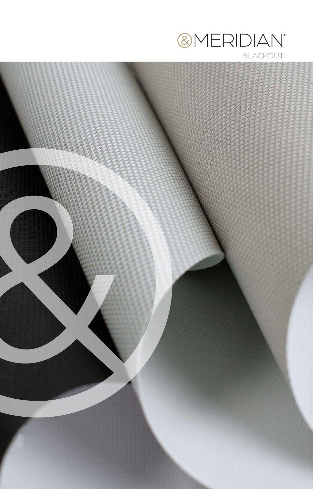

**BLACKOUT** 

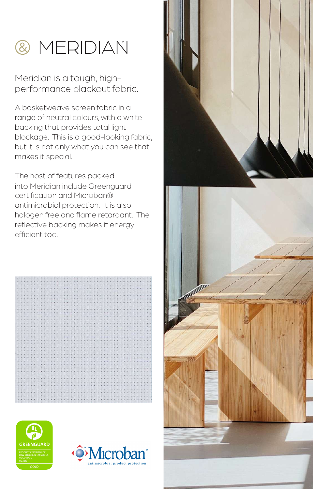

## Meridian is a tough, highperformance blackout fabric.

A basketweave screen fabric in a range of neutral colours, with a white backing that provides total light blockage. This is a good-looking fabric, but it is not only what you can see that makes it special.

The host of features packed into Meridian include Greenguard certification and Microban® antimicrobial protection. It is also halogen free and flame retardant. The reflective backing makes it energy efficient too.









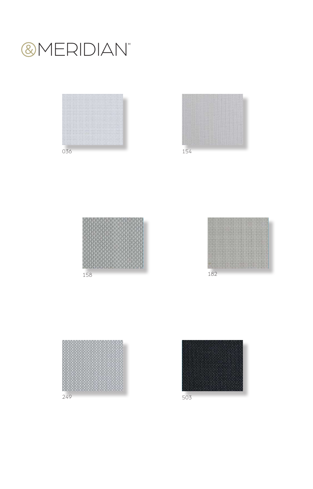











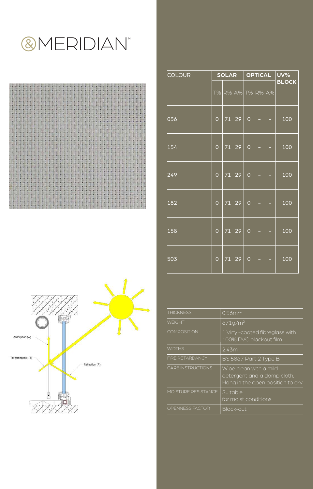## **@MERIDIAN**





| <b>COLOUR</b> | <b>SOLAR</b>   |                 |                | <b>OPTICAL</b> |  |  | <b>UV%</b>   |
|---------------|----------------|-----------------|----------------|----------------|--|--|--------------|
|               | <b>T%</b>      |                 | R% A% T% R% A% |                |  |  | <b>BLOCK</b> |
| 036           | $\overline{O}$ | $\overline{71}$ | 29             | $\overline{O}$ |  |  | 100          |
| 154           | $\circ$        | 71              | 29             | $\overline{O}$ |  |  | 100          |
| 249           | $\circ$        | $\overline{71}$ | 29             | $\overline{O}$ |  |  | 100          |
| 182           | $\overline{O}$ | $\overline{71}$ | 29             | $\overline{O}$ |  |  | 100          |
| 158           | $\overline{O}$ | 71              | 29             | $\overline{O}$ |  |  | 100          |
| 503           | $\circ$        | 71              | 29             | $\overline{O}$ |  |  | 100          |

| <b>THICKNESS</b>         | $0.56$ mm                                                                                 |
|--------------------------|-------------------------------------------------------------------------------------------|
| WEIGHT                   | 671q/m <sup>2</sup>                                                                       |
| <b>COMPOSITION</b>       | 1 Vinyl-coated fibreglass with<br>100% PVC blackout film                                  |
| WIDTHS                   | 2.43m                                                                                     |
| FIRE RETARDANCY          | BS 5867 Part 2 Type B                                                                     |
| <b>CARE INSTRUCTIONS</b> | Wipe clean with a mild<br>detergent and a damp cloth.<br>Hang in the open position to dry |
| MOISTURE RESISTANCE      | Suitable<br>for moist conditions                                                          |
| OPENNESS FACTOR          | Block-out                                                                                 |